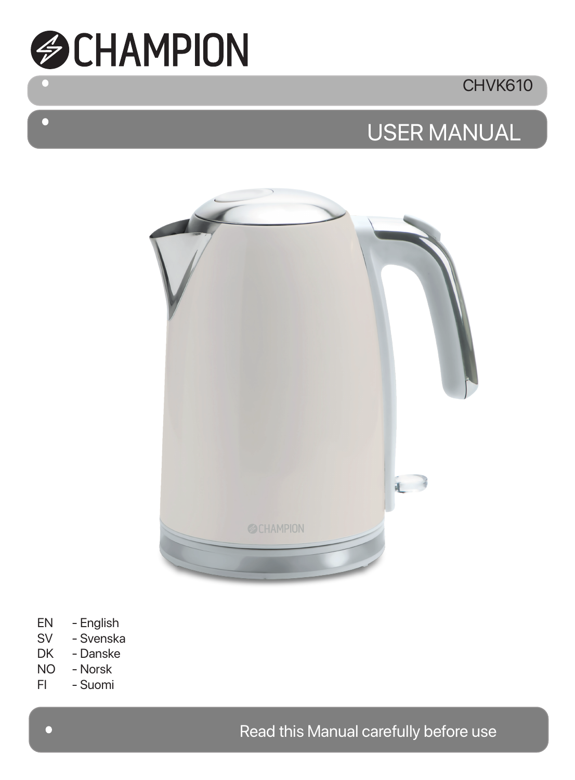

 $\bullet$ 

# CHVK610

# USER MANUAL



- 
- EN English<br>SV Svenska SV - Svenska<br>DK - Danske
- DK Danske<br>NO Norsk
- NO Norsk
- Suomi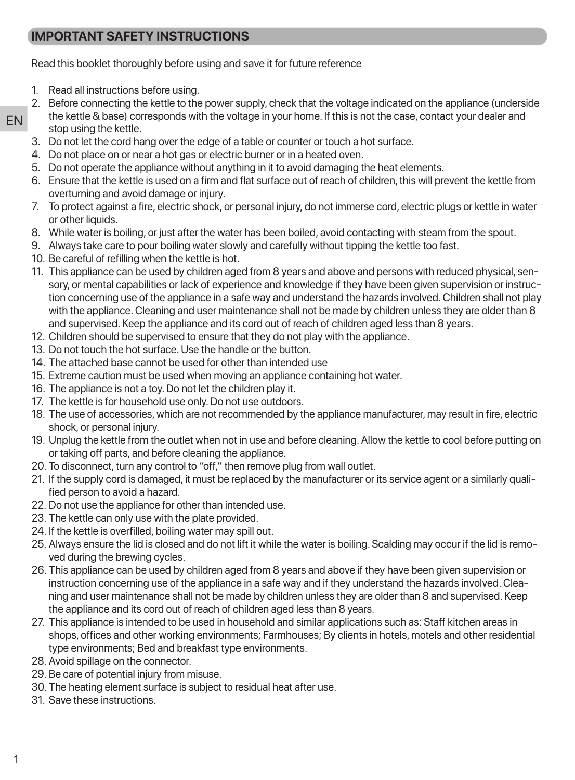# **IMPORTANT SAFETY INSTRUCTIONS**

Read this booklet thoroughly before using and save it for future reference

1. Read all instructions before using.

EN

- 2. Before connecting the kettle to the power supply, check that the voltage indicated on the appliance (underside
- the kettle & base) corresponds with the voltage in your home. If this is not the case, contact your dealer and stop using the kettle.
- 3. Do not let the cord hang over the edge of a table or counter or touch a hot surface.
- 4. Do not place on or near a hot gas or electric burner or in a heated oven.
- 5. Do not operate the appliance without anything in it to avoid damaging the heat elements.
- 6. Ensure that the kettle is used on a firm and flat surface out of reach of children, this will prevent the kettle from overturning and avoid damage or injury.
- 7. To protect against a fire, electric shock, or personal injury, do not immerse cord, electric plugs or kettle in water or other liquids.
- 8. While water is boiling, or just after the water has been boiled, avoid contacting with steam from the spout.
- 9. Always take care to pour boiling water slowly and carefully without tipping the kettle too fast.
- 10. Be careful of refilling when the kettle is hot.
- 11. This appliance can be used by children aged from 8 years and above and persons with reduced physical, sensory, or mental capabilities or lack of experience and knowledge if they have been given supervision or instruction concerning use of the appliance in a safe way and understand the hazards involved. Children shall not play with the appliance. Cleaning and user maintenance shall not be made by children unless they are older than 8 and supervised. Keep the appliance and its cord out of reach of children aged less than 8 years.
- 12. Children should be supervised to ensure that they do not play with the appliance.
- 13. Do not touch the hot surface. Use the handle or the button.
- 14. The attached base cannot be used for other than intended use
- 15. Extreme caution must be used when moving an appliance containing hot water.
- 16. The appliance is not a toy. Do not let the children play it.
- 17. The kettle is for household use only. Do not use outdoors.
- 18. The use of accessories, which are not recommended by the appliance manufacturer, may result in fire, electric shock, or personal injury.
- 19. Unplug the kettle from the outlet when not in use and before cleaning. Allow the kettle to cool before putting on or taking off parts, and before cleaning the appliance.
- 20. To disconnect, turn any control to "off," then remove plug from wall outlet.
- 21. If the supply cord is damaged, it must be replaced by the manufacturer or its service agent or a similarly qualified person to avoid a hazard.
- 22. Do not use the appliance for other than intended use.
- 23. The kettle can only use with the plate provided.
- 24. If the kettle is overfilled, boiling water may spill out.
- 25. Always ensure the lid is closed and do not lift it while the water is boiling. Scalding may occur if the lid is removed during the brewing cycles.
- 26. This appliance can be used by children aged from 8 years and above if they have been given supervision or instruction concerning use of the appliance in a safe way and if they understand the hazards involved. Cleaning and user maintenance shall not be made by children unless they are older than 8 and supervised. Keep the appliance and its cord out of reach of children aged less than 8 years.
- 27. This appliance is intended to be used in household and similar applications such as: Staff kitchen areas in shops, offices and other working environments; Farmhouses; By clients in hotels, motels and other residential type environments; Bed and breakfast type environments.
- 28. Avoid spillage on the connector.
- 29. Be care of potential injury from misuse.
- 30. The heating element surface is subject to residual heat after use.
- 31. Save these instructions.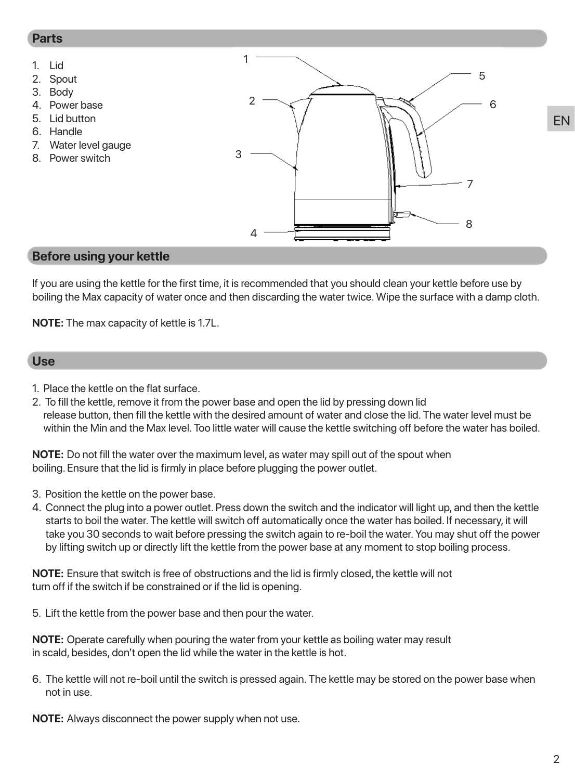#### **Parts**



## **Before using your kettle**

If you are using the kettle for the first time, it is recommended that you should clean your kettle before use by boiling the Max capacity of water once and then discarding the water twice. Wipe the surface with a damp cloth.

**NOTE:** The max capacity of kettle is 1.7L.

#### **Use**

- 1. Place the kettle on the flat surface.
- 2. To fill the kettle, remove it from the power base and open the lid by pressing down lid release button, then fill the kettle with the desired amount of water and close the lid. The water level must be within the Min and the Max level. Too little water will cause the kettle switching off before the water has boiled.

**NOTE:** Do not fill the water over the maximum level, as water may spill out of the spout when boiling. Ensure that the lid is firmly in place before plugging the power outlet.

- 3. Position the kettle on the power base.
- 4. Connect the plug into a power outlet. Press down the switch and the indicator will light up, and then the kettle starts to boil the water. The kettle will switch off automatically once the water has boiled. If necessary, it will take you 30 seconds to wait before pressing the switch again to re-boil the water. You may shut off the power by lifting switch up or directly lift the kettle from the power base at any moment to stop boiling process.

**NOTE:** Ensure that switch is free of obstructions and the lid is firmly closed, the kettle will not turn off if the switch if be constrained or if the lid is opening.

5. Lift the kettle from the power base and then pour the water.

**NOTE:** Operate carefully when pouring the water from your kettle as boiling water may result in scald, besides, don't open the lid while the water in the kettle is hot.

6. The kettle will not re-boil until the switch is pressed again. The kettle may be stored on the power base when not in use.

**NOTE:** Always disconnect the power supply when not use.

EN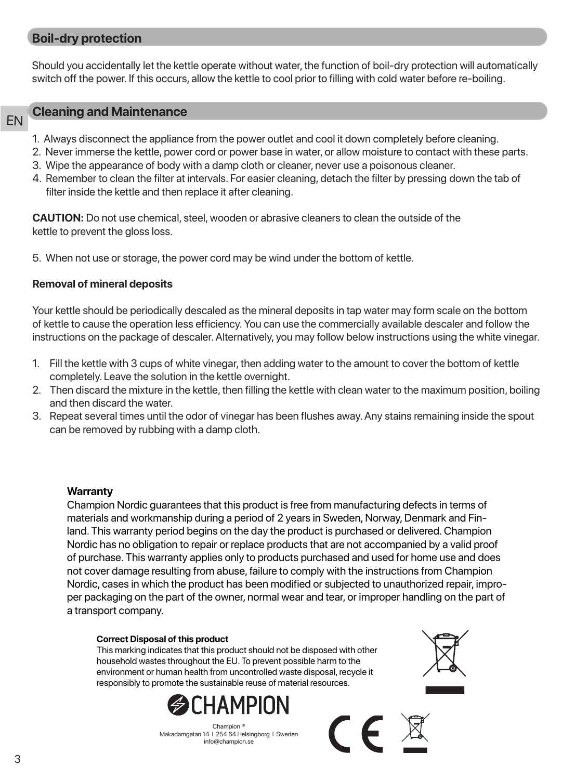## **Boil-dry protection**

Should you accidentally let the kettle operate without water, the function of boil-dry protection will automatically switch off the power. If this occurs, allow the kettle to cool prior to filling with cold water before re-boiling.

#### EN **Cleaning and Maintenance**

- 1. Always disconnect the appliance from the power outlet and cool it down completely before cleaning.
- 2. Never immerse the kettle, power cord or power base in water, or allow moisture to contact with these parts.
- 3. Wipe the appearance of body with a damp cloth or cleaner, never use a poisonous cleaner.
- 4. Remember to clean the filter at intervals. For easier cleaning, detach the filter by pressing down the tab of filter inside the kettle and then replace it after cleaning.

**CAUTION:** Do not use chemical, steel, wooden or abrasive cleaners to clean the outside of the kettle to prevent the gloss loss.

5. When not use or storage, the power cord may be wind under the bottom of kettle.

#### **Removal of mineral deposits**

Your kettle should be periodically descaled as the mineral deposits in tap water may form scale on the bottom of kettle to cause the operation less efficiency. You can use the commercially available descaler and follow the instructions on the package of descaler. Alternatively, you may follow below instructions using the white vinegar.

- 1. Fill the kettle with 3 cups of white vinegar, then adding water to the amount to cover the bottom of kettle completely. Leave the solution in the kettle overnight.
- 2. Then discard the mixture in the kettle, then filling the kettle with clean water to the maximum position, boiling and then discard the water.
- 3. Repeat several times until the odor of vinegar has been flushes away. Any stains remaining inside the spout can be removed by rubbing with a damp cloth.

#### **Warranty**

Champion Nordic guarantees that this product is free from manufacturing defects in terms of materials and workmanship during a period of 2 years in Sweden, Norway, Denmark and Finland. This warranty period begins on the day the product is purchased or delivered. Champion Nordic has no obligation to repair or replace products that are not accompanied by a valid proof of purchase. This warranty applies only to products purchased and used for home use and does not cover damage resulting from abuse, failure to comply with the instructions from Champion Nordic, cases in which the product has been modified or subjected to unauthorized repair, improper packaging on the part of the owner, normal wear and tear, or improper handling on the part of a transport company.

#### **Correct Disposal of this product**

This marking indicates that this product should not be disposed with other household wastes throughout the EU. To prevent possible harm to the environment or human health from uncontrolled waste disposal, recycle it responsibly to promote the sustainable reuse of material resources.



Champion **b** Makadamgatan 14 I 254 64 Helsingborg I Sweden info@champion.se



 $\epsilon$ 

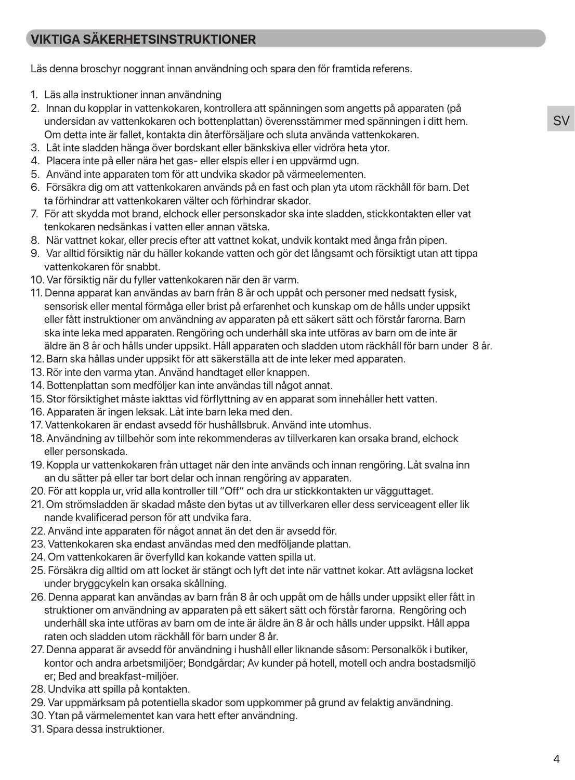# **VIKTIGA SÄKERHETSINSTRUKTIONER**

Läs denna broschyr noggrant innan användning och spara den för framtida referens.

- 1. Läs alla instruktioner innan användning
- 2. Innan du kopplar in vattenkokaren, kontrollera att spänningen som angetts på apparaten (på undersidan av vattenkokaren och bottenplattan) överensstämmer med spänningen i ditt hem. Om detta inte är fallet, kontakta din återförsäljare och sluta använda vattenkokaren.
- 3. Låt inte sladden hänga över bordskant eller bänkskiva eller vidröra heta ytor.
- 4. Placera inte på eller nära het gas- eller elspis eller i en uppvärmd ugn.
- 5. Använd inte apparaten tom för att undvika skador på värmeelementen.
- 6. Försäkra dig om att vattenkokaren används på en fast och plan yta utom räckhåll för barn. Det ta förhindrar att vattenkokaren välter och förhindrar skador.
- 7. För att skydda mot brand, elchock eller personskador ska inte sladden, stickkontakten eller vat tenkokaren nedsänkas i vatten eller annan vätska.
- 8. När vattnet kokar, eller precis efter att vattnet kokat, undvik kontakt med ånga från pipen.
- 9. Var alltid försiktig när du häller kokande vatten och gör det långsamt och försiktigt utan att tippa vattenkokaren för snabbt.
- 10. Var försiktig när du fyller vattenkokaren när den är varm.
- 11. Denna apparat kan användas av barn från 8 år och uppåt och personer med nedsatt fysisk, sensorisk eller mental förmåga eller brist på erfarenhet och kunskap om de hålls under uppsikt eller fått instruktioner om användning av apparaten på ett säkert sätt och förstår farorna. Barn ska inte leka med apparaten. Rengöring och underhåll ska inte utföras av barn om de inte är äldre än 8 år och hålls under uppsikt. Håll apparaten och sladden utom räckhåll för barn under 8 år.
- 12. Barn ska hållas under uppsikt för att säkerställa att de inte leker med apparaten.
- 13. Rör inte den varma ytan. Använd handtaget eller knappen.
- 14. Bottenplattan som medföljer kan inte användas till något annat.
- 15. Stor försiktighet måste iakttas vid förflyttning av en apparat som innehåller hett vatten.
- 16. Apparaten är ingen leksak. Låt inte barn leka med den.
- 17. Vattenkokaren är endast avsedd för hushållsbruk. Använd inte utomhus.
- 18. Användning av tillbehör som inte rekommenderas av tillverkaren kan orsaka brand, elchock eller personskada.
- 19. Koppla ur vattenkokaren från uttaget när den inte används och innan rengöring. Låt svalna inn an du sätter på eller tar bort delar och innan rengöring av apparaten.
- 20. För att koppla ur, vrid alla kontroller till "Off" och dra ur stickkontakten ur vägguttaget.
- 21. Om strömsladden är skadad måste den bytas ut av tillverkaren eller dess serviceagent eller lik nande kvalificerad person för att undvika fara.
- 22. Använd inte apparaten för något annat än det den är avsedd för.
- 23. Vattenkokaren ska endast användas med den medföljande plattan.
- 24. Om vattenkokaren är överfylld kan kokande vatten spilla ut.
- 25. Försäkra dig alltid om att locket är stängt och lyft det inte när vattnet kokar. Att avlägsna locket under bryggcykeln kan orsaka skållning.
- 26. Denna apparat kan användas av barn från 8 år och uppåt om de hålls under uppsikt eller fått in struktioner om användning av apparaten på ett säkert sätt och förstår farorna. Rengöring och underhåll ska inte utföras av barn om de inte är äldre än 8 år och hålls under uppsikt. Håll appa raten och sladden utom räckhåll för barn under 8 år.
- 27. Denna apparat är avsedd för användning i hushåll eller liknande såsom: Personalkök i butiker, kontor och andra arbetsmiljöer; Bondgårdar; Av kunder på hotell, motell och andra bostadsmiljö er; Bed and breakfast-miljöer.
- 28. Undvika att spilla på kontakten.
- 29. Var uppmärksam på potentiella skador som uppkommer på grund av felaktig användning.
- 30. Ytan på värmelementet kan vara hett efter användning.
- 31. Spara dessa instruktioner.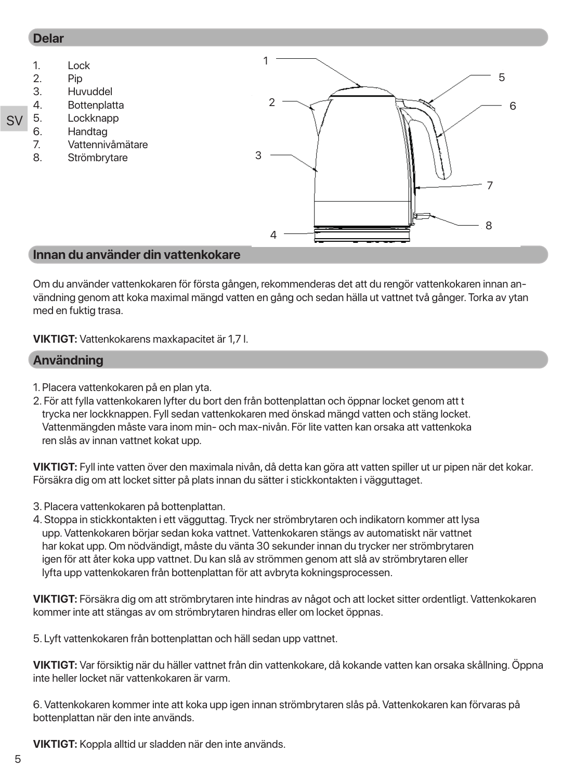# **Delar**

- 1. Lock 2. Pip
- 
- 3. Huvuddel
- 4. Bottenplatta
- SV 5. Lockknapp
	- 6. Handtag
		- 7. Vattennivåmätare
	- 8. Strömbrytare



## **Innan du använder din vattenkokare**

Om du använder vattenkokaren för första gången, rekommenderas det att du rengör vattenkokaren innan användning genom att koka maximal mängd vatten en gång och sedan hälla ut vattnet två gånger. Torka av ytan med en fuktig trasa.

**VIKTIGT:** Vattenkokarens maxkapacitet är 1,7 l.

# **Användning**

- 1. Placera vattenkokaren på en plan yta.
- 2. För att fylla vattenkokaren lyfter du bort den från bottenplattan och öppnar locket genom att t trycka ner lockknappen. Fyll sedan vattenkokaren med önskad mängd vatten och stäng locket. Vattenmängden måste vara inom min- och max-nivån. För lite vatten kan orsaka att vattenkoka ren slås av innan vattnet kokat upp.

**VIKTIGT:** Fyll inte vatten över den maximala nivån, då detta kan göra att vatten spiller ut ur pipen när det kokar. Försäkra dig om att locket sitter på plats innan du sätter i stickkontakten i vägguttaget.

- 3. Placera vattenkokaren på bottenplattan.
- 4. Stoppa in stickkontakten i ett vägguttag. Tryck ner strömbrytaren och indikatorn kommer att lysa upp. Vattenkokaren börjar sedan koka vattnet. Vattenkokaren stängs av automatiskt när vattnet har kokat upp. Om nödvändigt, måste du vänta 30 sekunder innan du trycker ner strömbrytaren igen för att åter koka upp vattnet. Du kan slå av strömmen genom att slå av strömbrytaren eller lyfta upp vattenkokaren från bottenplattan för att avbryta kokningsprocessen.

**VIKTIGT:** Försäkra dig om att strömbrytaren inte hindras av något och att locket sitter ordentligt. Vattenkokaren kommer inte att stängas av om strömbrytaren hindras eller om locket öppnas.

5. Lyft vattenkokaren från bottenplattan och häll sedan upp vattnet.

**VIKTIGT:** Var försiktig när du häller vattnet från din vattenkokare, då kokande vatten kan orsaka skållning. Öppna inte heller locket när vattenkokaren är varm.

6. Vattenkokaren kommer inte att koka upp igen innan strömbrytaren slås på. Vattenkokaren kan förvaras på bottenplattan när den inte används.

**VIKTIGT:** Koppla alltid ur sladden när den inte används.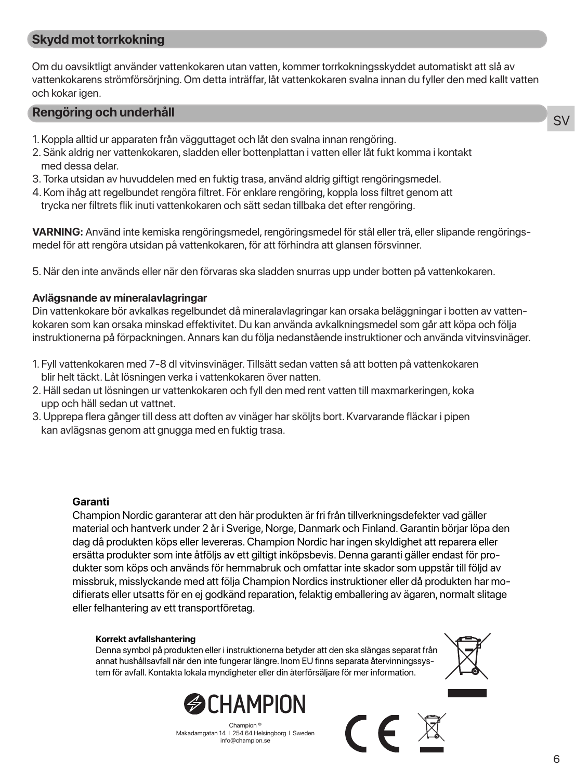# **Skydd mot torrkokning**

Om du oavsiktligt använder vattenkokaren utan vatten, kommer torrkokningsskyddet automatiskt att slå av vattenkokarens strömförsörjning. Om detta inträffar, låt vattenkokaren svalna innan du fyller den med kallt vatten och kokar igen.

# **Rengöring och underhåll**

- 1. Koppla alltid ur apparaten från vägguttaget och låt den svalna innan rengöring.
- 2. Sänk aldrig ner vattenkokaren, sladden eller bottenplattan i vatten eller låt fukt komma i kontakt med dessa delar.
- 3. Torka utsidan av huvuddelen med en fuktig trasa, använd aldrig giftigt rengöringsmedel.
- 4. Kom ihåg att regelbundet rengöra filtret. För enklare rengöring, koppla loss filtret genom att trycka ner filtrets flik inuti vattenkokaren och sätt sedan tillbaka det efter rengöring.

**VARNING:** Använd inte kemiska rengöringsmedel, rengöringsmedel för stål eller trä, eller slipande rengöringsmedel för att rengöra utsidan på vattenkokaren, för att förhindra att glansen försvinner.

5. När den inte används eller när den förvaras ska sladden snurras upp under botten på vattenkokaren.

#### **Avlägsnande av mineralavlagringar**

Din vattenkokare bör avkalkas regelbundet då mineralavlagringar kan orsaka beläggningar i botten av vattenkokaren som kan orsaka minskad effektivitet. Du kan använda avkalkningsmedel som går att köpa och följa instruktionerna på förpackningen. Annars kan du följa nedanstående instruktioner och använda vitvinsvinäger.

- 1. Fyll vattenkokaren med 7-8 dl vitvinsvinäger. Tillsätt sedan vatten så att botten på vattenkokaren blir helt täckt. Låt lösningen verka i vattenkokaren över natten.
- 2. Häll sedan ut lösningen ur vattenkokaren och fyll den med rent vatten till maxmarkeringen, koka upp och häll sedan ut vattnet.
- 3. Upprepa flera gånger till dess att doften av vinäger har sköljts bort. Kvarvarande fläckar i pipen kan avlägsnas genom att gnugga med en fuktig trasa.

#### **Garanti**

Champion Nordic garanterar att den här produkten är fri från tillverkningsdefekter vad gäller material och hantverk under 2 år i Sverige, Norge, Danmark och Finland. Garantin börjar löpa den dag då produkten köps eller levereras. Champion Nordic har ingen skyldighet att reparera eller ersätta produkter som inte åtföljs av ett giltigt inköpsbevis. Denna garanti gäller endast för produkter som köps och används för hemmabruk och omfattar inte skador som uppstår till följd av missbruk, misslyckande med att följa Champion Nordics instruktioner eller då produkten har modifierats eller utsatts för en ej godkänd reparation, felaktig emballering av ägaren, normalt slitage eller felhantering av ett transportföretag.

#### **Korrekt avfallshantering**

Denna symbol på produkten eller i instruktionerna betyder att den ska slängas separat från annat hushållsavfall när den inte fungerar längre. Inom EU finns separata återvinningssystem för avfall. Kontakta lokala myndigheter eller din återförsäljare för mer information.



 $\epsilon$ 



Champion Makadamgatan 14 I 254 64 Helsingborg I Sweden info@champion.se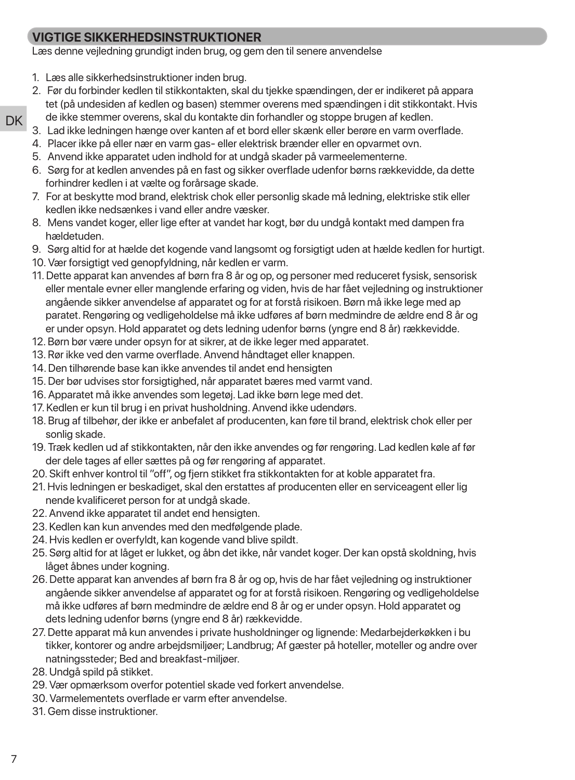# **VIGTIGE SIKKERHEDSINSTRUKTIONER**

Læs denne vejledning grundigt inden brug, og gem den til senere anvendelse

- 1. Læs alle sikkerhedsinstruktioner inden brug.
- 2. Før du forbinder kedlen til stikkontakten, skal du tjekke spændingen, der er indikeret på appara tet (på undesiden af kedlen og basen) stemmer overens med spændingen i dit stikkontakt. Hvis de ikke stemmer overens, skal du kontakte din forhandler og stoppe brugen af kedlen.
- 3. Lad ikke ledningen hænge over kanten af et bord eller skænk eller berøre en varm overflade.
- 4. Placer ikke på eller nær en varm gas- eller elektrisk brænder eller en opvarmet ovn.
- 5. Anvend ikke apparatet uden indhold for at undgå skader på varmeelementerne.
- 6. Sørg for at kedlen anvendes på en fast og sikker overflade udenfor børns rækkevidde, da dette forhindrer kedlen i at vælte og forårsage skade.
- 7. For at beskytte mod brand, elektrisk chok eller personlig skade må ledning, elektriske stik eller kedlen ikke nedsænkes i vand eller andre væsker.
- 8. Mens vandet koger, eller lige efter at vandet har kogt, bør du undgå kontakt med dampen fra hældetuden.
- 9. Sørg altid for at hælde det kogende vand langsomt og forsigtigt uden at hælde kedlen for hurtigt.
- 10. Vær forsigtigt ved genopfyldning, når kedlen er varm.
- 11. Dette apparat kan anvendes af børn fra 8 år og op, og personer med reduceret fysisk, sensorisk eller mentale evner eller manglende erfaring og viden, hvis de har fået vejledning og instruktioner angående sikker anvendelse af apparatet og for at forstå risikoen. Børn må ikke lege med ap paratet. Rengøring og vedligeholdelse må ikke udføres af børn medmindre de ældre end 8 år og er under opsyn. Hold apparatet og dets ledning udenfor børns (yngre end 8 år) rækkevidde.
- 12. Børn bør være under opsyn for at sikrer, at de ikke leger med apparatet.
- 13. Rør ikke ved den varme overflade. Anvend håndtaget eller knappen.
- 14. Den tilhørende base kan ikke anvendes til andet end hensigten
- 15. Der bør udvises stor forsigtighed, når apparatet bæres med varmt vand.
- 16. Apparatet må ikke anvendes som legetøj. Lad ikke børn lege med det.
- 17. Kedlen er kun til brug i en privat husholdning. Anvend ikke udendørs.
- 18. Brug af tilbehør, der ikke er anbefalet af producenten, kan føre til brand, elektrisk chok eller per sonlig skade.
- 19. Træk kedlen ud af stikkontakten, når den ikke anvendes og før rengøring. Lad kedlen køle af før der dele tages af eller sættes på og før rengøring af apparatet.
- 20. Skift enhver kontrol til "off", og fjern stikket fra stikkontakten for at koble apparatet fra.
- 21. Hvis ledningen er beskadiget, skal den erstattes af producenten eller en serviceagent eller lig nende kvalificeret person for at undgå skade.
- 22. Anvend ikke apparatet til andet end hensigten.
- 23. Kedlen kan kun anvendes med den medfølgende plade.
- 24. Hvis kedlen er overfyldt, kan kogende vand blive spildt.
- 25. Sørg altid for at låget er lukket, og åbn det ikke, når vandet koger. Der kan opstå skoldning, hvis låget åbnes under kogning.
- 26. Dette apparat kan anvendes af børn fra 8 år og op, hvis de har fået vejledning og instruktioner angående sikker anvendelse af apparatet og for at forstå risikoen. Rengøring og vedligeholdelse må ikke udføres af børn medmindre de ældre end 8 år og er under opsyn. Hold apparatet og dets ledning udenfor børns (yngre end 8 år) rækkevidde.
- 27. Dette apparat må kun anvendes i private husholdninger og lignende: Medarbejderkøkken i bu tikker, kontorer og andre arbejdsmiljøer; Landbrug; Af gæster på hoteller, moteller og andre over natningssteder; Bed and breakfast-miljøer.
- 28. Undgå spild på stikket.
- 29. Vær opmærksom overfor potentiel skade ved forkert anvendelse.
- 30. Varmelementets overflade er varm efter anvendelse.
- 31. Gem disse instruktioner.

**DK**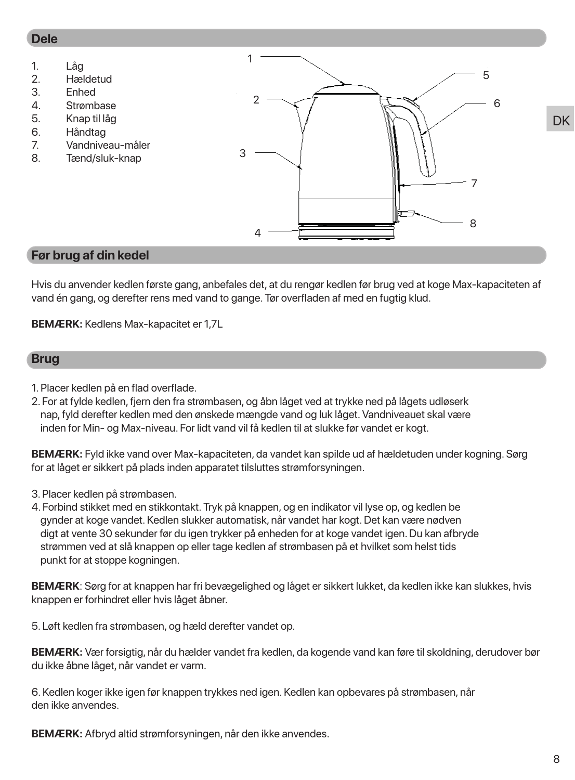## **Dele**



# **Før brug af din kedel**

Hvis du anvender kedlen første gang, anbefales det, at du rengør kedlen før brug ved at koge Max-kapaciteten af vand én gang, og derefter rens med vand to gange. Tør overfladen af med en fugtig klud.

**BEMÆRK:** Kedlens Max-kapacitet er 1,7L

#### **Brug**

- 1. Placer kedlen på en flad overflade.
- 2. For at fylde kedlen, fjern den fra strømbasen, og åbn låget ved at trykke ned på lågets udløserk nap, fyld derefter kedlen med den ønskede mængde vand og luk låget. Vandniveauet skal være inden for Min- og Max-niveau. For lidt vand vil få kedlen til at slukke før vandet er kogt.

**BEMÆRK:** Fyld ikke vand over Max-kapaciteten, da vandet kan spilde ud af hældetuden under kogning. Sørg for at låget er sikkert på plads inden apparatet tilsluttes strømforsyningen.

- 3. Placer kedlen på strømbasen.
- 4. Forbind stikket med en stikkontakt. Tryk på knappen, og en indikator vil lyse op, og kedlen be gynder at koge vandet. Kedlen slukker automatisk, når vandet har kogt. Det kan være nødven digt at vente 30 sekunder før du igen trykker på enheden for at koge vandet igen. Du kan afbryde strømmen ved at slå knappen op eller tage kedlen af strømbasen på et hvilket som helst tids punkt for at stoppe kogningen.

**BEMÆRK**: Sørg for at knappen har fri bevægelighed og låget er sikkert lukket, da kedlen ikke kan slukkes, hvis knappen er forhindret eller hvis låget åbner.

5. Løft kedlen fra strømbasen, og hæld derefter vandet op.

**BEMÆRK:** Vær forsigtig, når du hælder vandet fra kedlen, da kogende vand kan føre til skoldning, derudover bør du ikke åbne låget, når vandet er varm.

6. Kedlen koger ikke igen før knappen trykkes ned igen. Kedlen kan opbevares på strømbasen, når den ikke anvendes.

**BEMÆRK:** Afbryd altid strømforsyningen, når den ikke anvendes.

**DK**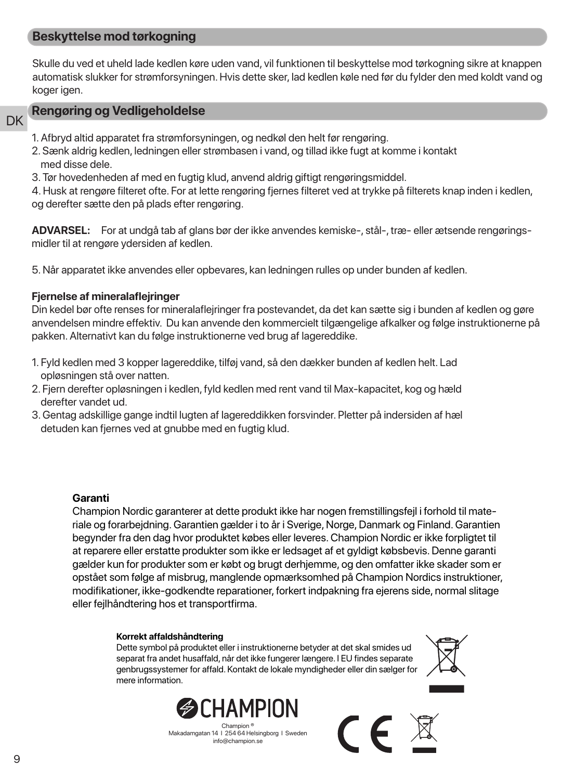## **Beskyttelse mod tørkogning**

Skulle du ved et uheld lade kedlen køre uden vand, vil funktionen til beskyttelse mod tørkogning sikre at knappen automatisk slukker for strømforsyningen. Hvis dette sker, lad kedlen køle ned før du fylder den med koldt vand og koger igen.

#### **Rengøring og Vedligeholdelse**

- DK
- 1. Afbryd altid apparatet fra strømforsyningen, og nedkøl den helt før rengøring.
- 2. Sænk aldrig kedlen, ledningen eller strømbasen i vand, og tillad ikke fugt at komme i kontakt med disse dele.
- 3. Tør hovedenheden af med en fugtig klud, anvend aldrig giftigt rengøringsmiddel.

4. Husk at rengøre filteret ofte. For at lette rengøring fjernes filteret ved at trykke på filterets knap inden i kedlen, og derefter sætte den på plads efter rengøring.

**ADVARSEL:** For at undgå tab af glans bør der ikke anvendes kemiske-, stål-, træ- eller ætsende rengøringsmidler til at rengøre ydersiden af kedlen.

5. Når apparatet ikke anvendes eller opbevares, kan ledningen rulles op under bunden af kedlen.

#### **Fjernelse af mineralaflejringer**

Din kedel bør ofte renses for mineralaflejringer fra postevandet, da det kan sætte sig i bunden af kedlen og gøre anvendelsen mindre effektiv. Du kan anvende den kommercielt tilgængelige afkalker og følge instruktionerne på pakken. Alternativt kan du følge instruktionerne ved brug af lagereddike.

- 1. Fyld kedlen med 3 kopper lagereddike, tilføj vand, så den dækker bunden af kedlen helt. Lad opløsningen stå over natten.
- 2. Fjern derefter opløsningen i kedlen, fyld kedlen med rent vand til Max-kapacitet, kog og hæld derefter vandet ud.
- 3. Gentag adskillige gange indtil lugten af lagereddikken forsvinder. Pletter på indersiden af hæl detuden kan fjernes ved at gnubbe med en fugtig klud.

#### **Garanti**

Champion Nordic garanterer at dette produkt ikke har nogen fremstillingsfejl i forhold til materiale og forarbejdning. Garantien gælder i to år i Sverige, Norge, Danmark og Finland. Garantien begynder fra den dag hvor produktet købes eller leveres. Champion Nordic er ikke forpligtet til at reparere eller erstatte produkter som ikke er ledsaget af et gyldigt købsbevis. Denne garanti gælder kun for produkter som er købt og brugt derhjemme, og den omfatter ikke skader som er opstået som følge af misbrug, manglende opmærksomhed på Champion Nordics instruktioner, modifikationer, ikke-godkendte reparationer, forkert indpakning fra ejerens side, normal slitage eller fejlhåndtering hos et transportfirma.

#### **Korrekt affaldshåndtering**

Dette symbol på produktet eller i instruktionerne betyder at det skal smides ud separat fra andet husaffald, når det ikke fungerer længere. I EU findes separate genbrugssystemer for affald. Kontakt de lokale myndigheder eller din sælger for mere information.





Champion ® Makadamgatan 14 I 254 64 Helsingborg I Sweden info@champion.se

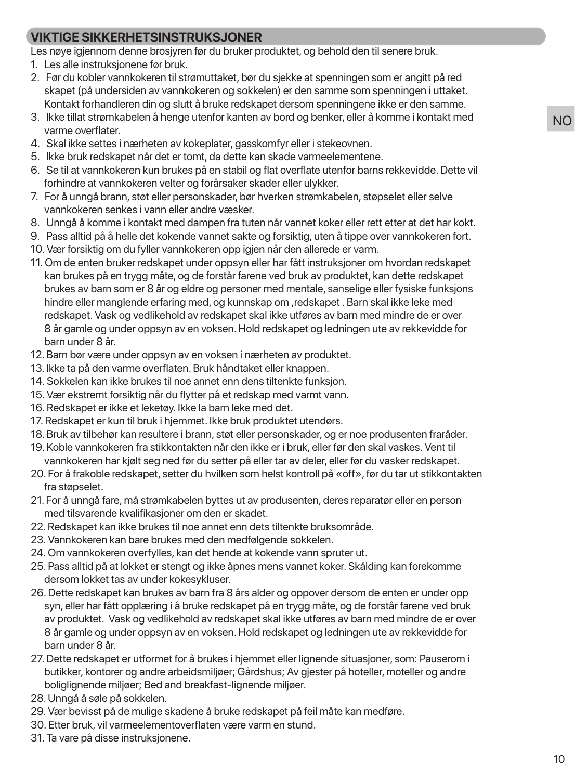# **VIKTIGE SIKKERHETSINSTRUKSJONER**

Les nøye igjennom denne brosjyren før du bruker produktet, og behold den til senere bruk.

- 1. Les alle instruksjonene før bruk.
- 2. Før du kobler vannkokeren til strømuttaket, bør du sjekke at spenningen som er angitt på red skapet (på undersiden av vannkokeren og sokkelen) er den samme som spenningen i uttaket. Kontakt forhandleren din og slutt å bruke redskapet dersom spenningene ikke er den samme.
- 3. Ikke tillat strømkabelen å henge utenfor kanten av bord og benker, eller å komme i kontakt med varme overflater.
- 4. Skal ikke settes i nærheten av kokeplater, gasskomfyr eller i stekeovnen.
- 5. Ikke bruk redskapet når det er tomt, da dette kan skade varmeelementene.
- 6. Se til at vannkokeren kun brukes på en stabil og flat overflate utenfor barns rekkevidde. Dette vil forhindre at vannkokeren velter og forårsaker skader eller ulykker.
- 7. For å unngå brann, støt eller personskader, bør hverken strømkabelen, støpselet eller selve vannkokeren senkes i vann eller andre væsker.
- 8. Unngå å komme i kontakt med dampen fra tuten når vannet koker eller rett etter at det har kokt.
- 9. Pass alltid på å helle det kokende vannet sakte og forsiktig, uten å tippe over vannkokeren fort.
- 10. Vær forsiktig om du fyller vannkokeren opp igjen når den allerede er varm.
- 11. Om de enten bruker redskapet under oppsyn eller har fått instruksjoner om hvordan redskapet kan brukes på en trygg måte, og de forstår farene ved bruk av produktet, kan dette redskapet brukes av barn som er 8 år og eldre og personer med mentale, sanselige eller fysiske funksjons hindre eller manglende erfaring med, og kunnskap om ,redskapet . Barn skal ikke leke med redskapet. Vask og vedlikehold av redskapet skal ikke utføres av barn med mindre de er over 8 år gamle og under oppsyn av en voksen. Hold redskapet og ledningen ute av rekkevidde for barn under 8 år.
- 12. Barn bør være under oppsyn av en voksen i nærheten av produktet.
- 13. Ikke ta på den varme overflaten. Bruk håndtaket eller knappen.
- 14. Sokkelen kan ikke brukes til noe annet enn dens tiltenkte funksjon.
- 15. Vær ekstremt forsiktig når du flytter på et redskap med varmt vann.
- 16. Redskapet er ikke et leketøy. Ikke la barn leke med det.
- 17. Redskapet er kun til bruk i hjemmet. Ikke bruk produktet utendørs.
- 18. Bruk av tilbehør kan resultere i brann, støt eller personskader, og er noe produsenten fraråder.
- 19. Koble vannkokeren fra stikkontakten når den ikke er i bruk, eller før den skal vaskes. Vent til vannkokeren har kjølt seg ned før du setter på eller tar av deler, eller før du vasker redskapet.
- 20. For å frakoble redskapet, setter du hvilken som helst kontroll på «off», før du tar ut stikkontakten fra støpselet.
- 21. For å unngå fare, må strømkabelen byttes ut av produsenten, deres reparatør eller en person med tilsvarende kvalifikasjoner om den er skadet.
- 22. Redskapet kan ikke brukes til noe annet enn dets tiltenkte bruksområde.
- 23. Vannkokeren kan bare brukes med den medfølgende sokkelen.
- 24. Om vannkokeren overfylles, kan det hende at kokende vann spruter ut.
- 25. Pass alltid på at lokket er stengt og ikke åpnes mens vannet koker. Skålding kan forekomme dersom lokket tas av under kokesykluser.
- 26. Dette redskapet kan brukes av barn fra 8 års alder og oppover dersom de enten er under opp syn, eller har fått opplæring i å bruke redskapet på en trygg måte, og de forstår farene ved bruk av produktet. Vask og vedlikehold av redskapet skal ikke utføres av barn med mindre de er over 8 år gamle og under oppsyn av en voksen. Hold redskapet og ledningen ute av rekkevidde for barn under 8 år.
- 27. Dette redskapet er utformet for å brukes i hjemmet eller lignende situasjoner, som: Pauserom i butikker, kontorer og andre arbeidsmiljøer; Gårdshus; Av gjester på hoteller, moteller og andre boliglignende miljøer; Bed and breakfast-lignende miljøer.
- 28. Unngå å søle på sokkelen.
- 29. Vær bevisst på de mulige skadene å bruke redskapet på feil måte kan medføre.
- 30. Etter bruk, vil varmeelementoverflaten være varm en stund.
- 31. Ta vare på disse instruksjonene.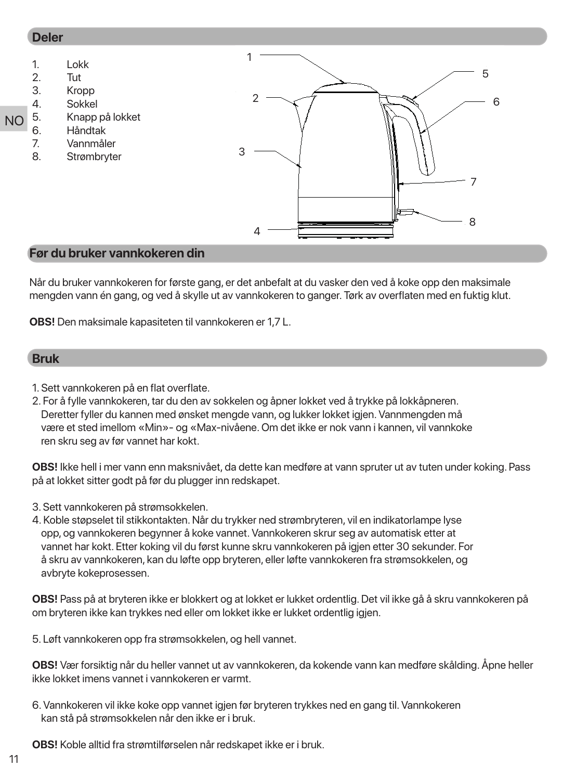## **Deler**



#### **Før du bruker vannkokeren din**

Når du bruker vannkokeren for første gang, er det anbefalt at du vasker den ved å koke opp den maksimale mengden vann én gang, og ved å skylle ut av vannkokeren to ganger. Tørk av overflaten med en fuktig klut.

**OBS!** Den maksimale kapasiteten til vannkokeren er 1,7 L.

#### **Bruk**

- 1. Sett vannkokeren på en flat overflate.
- 2. For å fylle vannkokeren, tar du den av sokkelen og åpner lokket ved å trykke på lokkåpneren. Deretter fyller du kannen med ønsket mengde vann, og lukker lokket igjen. Vannmengden må være et sted imellom «Min»- og «Max-nivåene. Om det ikke er nok vann i kannen, vil vannkoke ren skru seg av før vannet har kokt.

**OBS!** Ikke hell i mer vann enn maksnivået, da dette kan medføre at vann spruter ut av tuten under koking. Pass på at lokket sitter godt på før du plugger inn redskapet.

- 3. Sett vannkokeren på strømsokkelen.
- 4. Koble støpselet til stikkontakten. Når du trykker ned strømbryteren, vil en indikatorlampe lyse opp, og vannkokeren begynner å koke vannet. Vannkokeren skrur seg av automatisk etter at vannet har kokt. Etter koking vil du først kunne skru vannkokeren på igjen etter 30 sekunder. For å skru av vannkokeren, kan du løfte opp bryteren, eller løfte vannkokeren fra strømsokkelen, og avbryte kokeprosessen.

**OBS!** Pass på at bryteren ikke er blokkert og at lokket er lukket ordentlig. Det vil ikke gå å skru vannkokeren på om bryteren ikke kan trykkes ned eller om lokket ikke er lukket ordentlig igjen.

5. Løft vannkokeren opp fra strømsokkelen, og hell vannet.

**OBS!** Vær forsiktig når du heller vannet ut av vannkokeren, da kokende vann kan medføre skålding. Åpne heller ikke lokket imens vannet i vannkokeren er varmt.

6. Vannkokeren vil ikke koke opp vannet igjen før bryteren trykkes ned en gang til. Vannkokeren kan stå på strømsokkelen når den ikke er i bruk.

**OBS!** Koble alltid fra strømtilførselen når redskapet ikke er i bruk.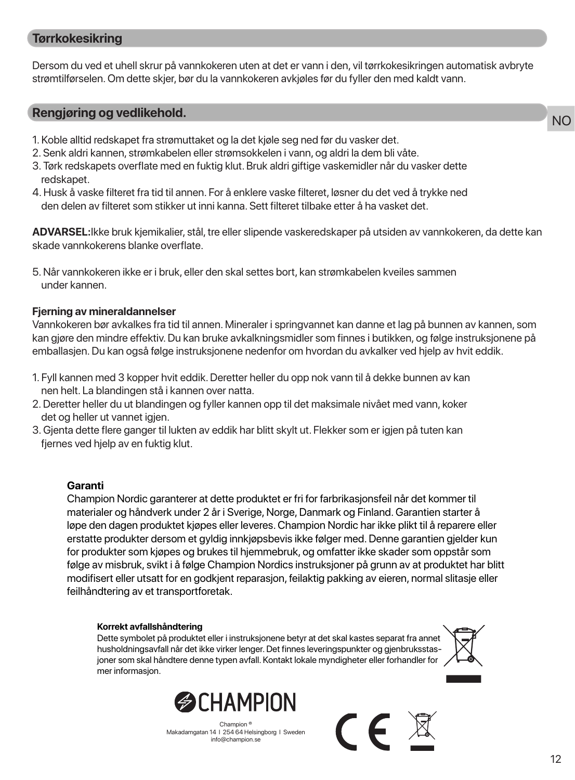# **Tørrkokesikring**

Dersom du ved et uhell skrur på vannkokeren uten at det er vann i den, vil tørrkokesikringen automatisk avbryte strømtilførselen. Om dette skjer, bør du la vannkokeren avkjøles før du fyller den med kaldt vann.

# **Rengjøring og vedlikehold.**

- 1. Koble alltid redskapet fra strømuttaket og la det kjøle seg ned før du vasker det.
- 2. Senk aldri kannen, strømkabelen eller strømsokkelen i vann, og aldri la dem bli våte.
- 3. Tørk redskapets overflate med en fuktig klut. Bruk aldri giftige vaskemidler når du vasker dette redskapet.
- 4. Husk å vaske filteret fra tid til annen. For å enklere vaske filteret, løsner du det ved å trykke ned den delen av filteret som stikker ut inni kanna. Sett filteret tilbake etter å ha vasket det.

**ADVARSEL:**Ikke bruk kjemikalier, stål, tre eller slipende vaskeredskaper på utsiden av vannkokeren, da dette kan skade vannkokerens blanke overflate.

5. Når vannkokeren ikke er i bruk, eller den skal settes bort, kan strømkabelen kveiles sammen under kannen.

#### **Fjerning av mineraldannelser**

Vannkokeren bør avkalkes fra tid til annen. Mineraler i springvannet kan danne et lag på bunnen av kannen, som kan gjøre den mindre effektiv. Du kan bruke avkalkningsmidler som finnes i butikken, og følge instruksjonene på emballasjen. Du kan også følge instruksjonene nedenfor om hvordan du avkalker ved hjelp av hvit eddik.

- 1. Fyll kannen med 3 kopper hvit eddik. Deretter heller du opp nok vann til å dekke bunnen av kan nen helt. La blandingen stå i kannen over natta.
- 2. Deretter heller du ut blandingen og fyller kannen opp til det maksimale nivået med vann, koker det og heller ut vannet igjen.
- 3. Gjenta dette flere ganger til lukten av eddik har blitt skylt ut. Flekker som er igjen på tuten kan fjernes ved hjelp av en fuktig klut.

#### **Garanti**

Champion Nordic garanterer at dette produktet er fri for farbrikasjonsfeil når det kommer til materialer og håndverk under 2 år i Sverige, Norge, Danmark og Finland. Garantien starter å løpe den dagen produktet kjøpes eller leveres. Champion Nordic har ikke plikt til å reparere eller erstatte produkter dersom et gyldig innkjøpsbevis ikke følger med. Denne garantien gjelder kun for produkter som kjøpes og brukes til hjemmebruk, og omfatter ikke skader som oppstår som følge av misbruk, svikt i å følge Champion Nordics instruksjoner på grunn av at produktet har blitt modifisert eller utsatt for en godkjent reparasjon, feilaktig pakking av eieren, normal slitasje eller feilhåndtering av et transportforetak.

#### **Korrekt avfallshåndtering**

Dette symbolet på produktet eller i instruksjonene betyr at det skal kastes separat fra annet husholdningsavfall når det ikke virker lenger. Det finnes leveringspunkter og gjenbruksstasjoner som skal håndtere denne typen avfall. Kontakt lokale myndigheter eller forhandler for mer informasjon.





Champion ® Makadamgatan 14 I 254 64 Helsingborg I Sweden info@champion.se

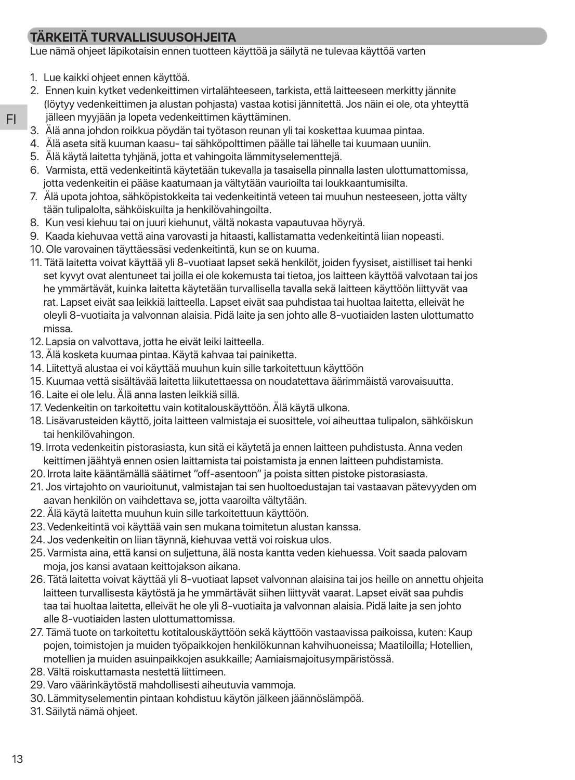# **TÄRKEITÄ TURVALLISUUSOHJEITA**

Lue nämä ohjeet läpikotaisin ennen tuotteen käyttöä ja säilytä ne tulevaa käyttöä varten

- 1. Lue kaikki ohjeet ennen käyttöä.
- 2. Ennen kuin kytket vedenkeittimen virtalähteeseen, tarkista, että laitteeseen merkitty jännite (löytyy vedenkeittimen ja alustan pohjasta) vastaa kotisi jännitettä. Jos näin ei ole, ota yhteyttä jälleen myyjään ja lopeta vedenkeittimen käyttäminen.
- 3. Älä anna johdon roikkua pöydän tai työtason reunan yli tai koskettaa kuumaa pintaa.
- 4. Älä aseta sitä kuuman kaasu- tai sähköpolttimen päälle tai lähelle tai kuumaan uuniin.
- 5. Älä käytä laitetta tyhjänä, jotta et vahingoita lämmityselementtejä.
- 6. Varmista, että vedenkeitintä käytetään tukevalla ja tasaisella pinnalla lasten ulottumattomissa, jotta vedenkeitin ei pääse kaatumaan ja vältytään vaurioilta tai loukkaantumisilta.
- 7. Älä upota johtoa, sähköpistokkeita tai vedenkeitintä veteen tai muuhun nesteeseen, jotta välty tään tulipalolta, sähköiskuilta ja henkilövahingoilta.
- 8. Kun vesi kiehuu tai on juuri kiehunut, vältä nokasta vapautuvaa höyryä.
- 9. Kaada kiehuvaa vettä aina varovasti ja hitaasti, kallistamatta vedenkeitintä liian nopeasti.
- 10. Ole varovainen täyttäessäsi vedenkeitintä, kun se on kuuma.
- 11. Tätä laitetta voivat käyttää yli 8-vuotiaat lapset sekä henkilöt, joiden fyysiset, aistilliset tai henki set kyvyt ovat alentuneet tai joilla ei ole kokemusta tai tietoa, jos laitteen käyttöä valvotaan tai jos he ymmärtävät, kuinka laitetta käytetään turvallisella tavalla sekä laitteen käyttöön liittyvät vaa rat. Lapset eivät saa leikkiä laitteella. Lapset eivät saa puhdistaa tai huoltaa laitetta, elleivät he oleyli 8-vuotiaita ja valvonnan alaisia. Pidä laite ja sen johto alle 8-vuotiaiden lasten ulottumatto missa.
- 12. Lapsia on valvottava, jotta he eivät leiki laitteella.
- 13. Älä kosketa kuumaa pintaa. Käytä kahvaa tai painiketta.
- 14. Liitettyä alustaa ei voi käyttää muuhun kuin sille tarkoitettuun käyttöön
- 15. Kuumaa vettä sisältävää laitetta liikutettaessa on noudatettava äärimmäistä varovaisuutta.
- 16. Laite ei ole lelu. Älä anna lasten leikkiä sillä.
- 17. Vedenkeitin on tarkoitettu vain kotitalouskäyttöön. Älä käytä ulkona.
- 18. Lisävarusteiden käyttö, joita laitteen valmistaja ei suosittele, voi aiheuttaa tulipalon, sähköiskun tai henkilövahingon.
- 19. Irrota vedenkeitin pistorasiasta, kun sitä ei käytetä ja ennen laitteen puhdistusta. Anna veden keittimen jäähtyä ennen osien laittamista tai poistamista ja ennen laitteen puhdistamista.
- 20. Irrota laite kääntämällä säätimet "off-asentoon" ja poista sitten pistoke pistorasiasta.
- 21. Jos virtajohto on vaurioitunut, valmistajan tai sen huoltoedustajan tai vastaavan pätevyyden om aavan henkilön on vaihdettava se, jotta vaaroilta vältytään.
- 22. Älä käytä laitetta muuhun kuin sille tarkoitettuun käyttöön.
- 23. Vedenkeitintä voi käyttää vain sen mukana toimitetun alustan kanssa.
- 24. Jos vedenkeitin on liian täynnä, kiehuvaa vettä voi roiskua ulos.
- 25. Varmista aina, että kansi on suljettuna, älä nosta kantta veden kiehuessa. Voit saada palovam moja, jos kansi avataan keittojakson aikana.
- 26. Tätä laitetta voivat käyttää yli 8-vuotiaat lapset valvonnan alaisina tai jos heille on annettu ohjeita laitteen turvallisesta käytöstä ja he ymmärtävät siihen liittyvät vaarat. Lapset eivät saa puhdis taa tai huoltaa laitetta, elleivät he ole yli 8-vuotiaita ja valvonnan alaisia. Pidä laite ja sen johto alle 8-vuotiaiden lasten ulottumattomissa.
- 27. Tämä tuote on tarkoitettu kotitalouskäyttöön sekä käyttöön vastaavissa paikoissa, kuten: Kaup pojen, toimistojen ja muiden työpaikkojen henkilökunnan kahvihuoneissa; Maatiloilla; Hotellien, motellien ja muiden asuinpaikkojen asukkaille; Aamiaismajoitusympäristössä.
- 28. Vältä roiskuttamasta nestettä liittimeen.
- 29. Varo väärinkäytöstä mahdollisesti aiheutuvia vammoja.
- 30. Lämmityselementin pintaan kohdistuu käytön jälkeen jäännöslämpöä.
- 31. Säilytä nämä ohjeet.

FI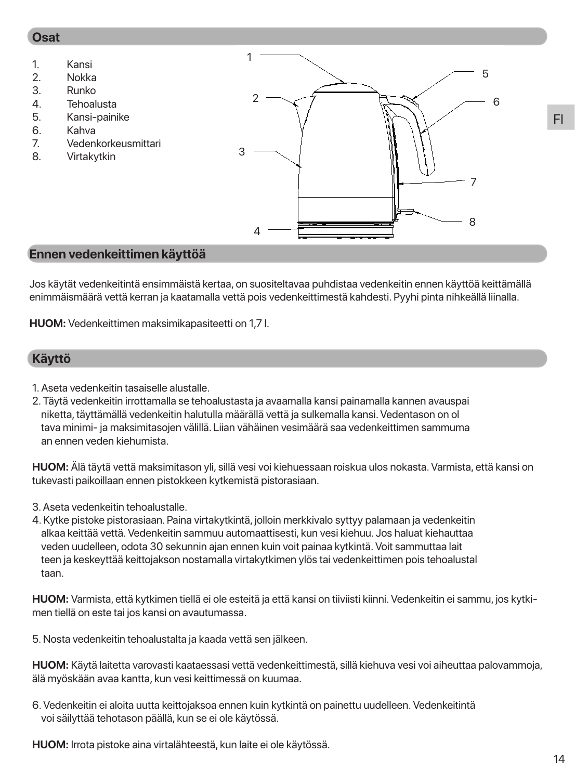# **Osat**



#### **Ennen vedenkeittimen käyttöä**

Jos käytät vedenkeitintä ensimmäistä kertaa, on suositeltavaa puhdistaa vedenkeitin ennen käyttöä keittämällä enimmäismäärä vettä kerran ja kaatamalla vettä pois vedenkeittimestä kahdesti. Pyyhi pinta nihkeällä liinalla.

**HUOM:** Vedenkeittimen maksimikapasiteetti on 1,7 l.

## **Käyttö**

- 1. Aseta vedenkeitin tasaiselle alustalle.
- 2. Täytä vedenkeitin irrottamalla se tehoalustasta ja avaamalla kansi painamalla kannen avauspai niketta, täyttämällä vedenkeitin halutulla määrällä vettä ja sulkemalla kansi. Vedentason on ol tava minimi- ja maksimitasojen välillä. Liian vähäinen vesimäärä saa vedenkeittimen sammuma an ennen veden kiehumista.

**HUOM:** Älä täytä vettä maksimitason yli, sillä vesi voi kiehuessaan roiskua ulos nokasta. Varmista, että kansi on tukevasti paikoillaan ennen pistokkeen kytkemistä pistorasiaan.

- 3. Aseta vedenkeitin tehoalustalle.
- 4. Kytke pistoke pistorasiaan. Paina virtakytkintä, jolloin merkkivalo syttyy palamaan ja vedenkeitin alkaa keittää vettä. Vedenkeitin sammuu automaattisesti, kun vesi kiehuu. Jos haluat kiehauttaa veden uudelleen, odota 30 sekunnin ajan ennen kuin voit painaa kytkintä. Voit sammuttaa lait teen ja keskeyttää keittojakson nostamalla virtakytkimen ylös tai vedenkeittimen pois tehoalustal taan.

**HUOM:** Varmista, että kytkimen tiellä ei ole esteitä ja että kansi on tiiviisti kiinni. Vedenkeitin ei sammu, jos kytkimen tiellä on este tai jos kansi on avautumassa.

5. Nosta vedenkeitin tehoalustalta ja kaada vettä sen jälkeen.

**HUOM:** Käytä laitetta varovasti kaataessasi vettä vedenkeittimestä, sillä kiehuva vesi voi aiheuttaa palovammoja, älä myöskään avaa kantta, kun vesi keittimessä on kuumaa.

6. Vedenkeitin ei aloita uutta keittojaksoa ennen kuin kytkintä on painettu uudelleen. Vedenkeitintä voi säilyttää tehotason päällä, kun se ei ole käytössä.

**HUOM:** Irrota pistoke aina virtalähteestä, kun laite ei ole käytössä.